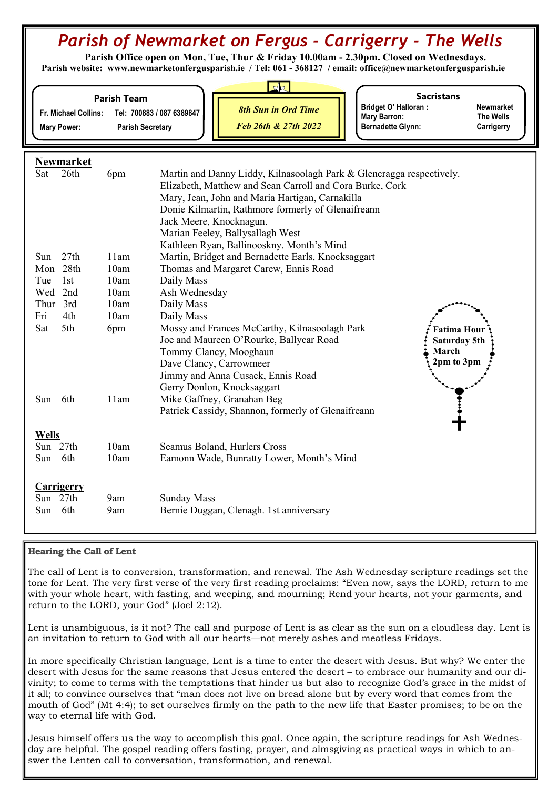# Parish of Newmarket on Fergus - Carrigerry - The Wells

 Parish Office open on Mon, Tue, Thur & Friday 10.00am - 2.30pm. Closed on Wednesdays. Parish website: www.newmarketonfergusparish.ie / Tel: 061 - 368127 / email: office@newmarketonfergusparish.ie

| Fr. Michael Collins:<br><b>Mary Power:</b> | <b>Parish Team</b><br><b>Parish Secretary</b> | $\sqrt{a}$<br><b>Sacristans</b><br><b>Bridget O' Halloran:</b><br><b>Newmarket</b><br><b>8th Sun in Ord Time</b><br>Tel: 700883 / 087 6389847<br><b>Mary Barron:</b><br>The Wells<br>Feb 26th & 27th 2022<br><b>Bernadette Glynn:</b><br>Carrigerry |
|--------------------------------------------|-----------------------------------------------|-----------------------------------------------------------------------------------------------------------------------------------------------------------------------------------------------------------------------------------------------------|
| <b>Newmarket</b>                           |                                               |                                                                                                                                                                                                                                                     |
| 26th<br>Sat                                | 6pm                                           | Martin and Danny Liddy, Kilnasoolagh Park & Glencragga respectively.<br>Elizabeth, Matthew and Sean Carroll and Cora Burke, Cork                                                                                                                    |
|                                            |                                               | Mary, Jean, John and Maria Hartigan, Carnakilla                                                                                                                                                                                                     |
|                                            |                                               | Donie Kilmartin, Rathmore formerly of Glenaifreann                                                                                                                                                                                                  |
|                                            |                                               | Jack Meere, Knocknagun.                                                                                                                                                                                                                             |
|                                            |                                               | Marian Feeley, Ballysallagh West                                                                                                                                                                                                                    |
|                                            |                                               | Kathleen Ryan, Ballinooskny. Month's Mind                                                                                                                                                                                                           |
| 27th<br>Sun                                | 11am                                          | Martin, Bridget and Bernadette Earls, Knocksaggart                                                                                                                                                                                                  |
| Mon 28th                                   | 10am                                          | Thomas and Margaret Carew, Ennis Road                                                                                                                                                                                                               |
| 1st<br>Tue                                 | 10am                                          | Daily Mass                                                                                                                                                                                                                                          |
| Wed 2nd                                    | 10am                                          | Ash Wednesday                                                                                                                                                                                                                                       |
| Thur 3rd<br>4th<br>Fri                     | 10am                                          | Daily Mass                                                                                                                                                                                                                                          |
| Sat<br>5th                                 | 10am                                          | Daily Mass<br>Mossy and Frances McCarthy, Kilnasoolagh Park                                                                                                                                                                                         |
|                                            | 6pm                                           | <b>Fatima Hour</b><br>Joe and Maureen O'Rourke, Ballycar Road<br>Saturday 5th                                                                                                                                                                       |
|                                            |                                               | Tommy Clancy, Mooghaun<br>March                                                                                                                                                                                                                     |
|                                            |                                               | 2pm to 3pm<br>Dave Clancy, Carrowmeer                                                                                                                                                                                                               |
|                                            |                                               | Jimmy and Anna Cusack, Ennis Road                                                                                                                                                                                                                   |
|                                            |                                               | Gerry Donlon, Knocksaggart                                                                                                                                                                                                                          |
| 6th<br>Sun                                 | 11am                                          | Mike Gaffney, Granahan Beg                                                                                                                                                                                                                          |
|                                            |                                               | Patrick Cassidy, Shannon, formerly of Glenaifreann                                                                                                                                                                                                  |
| <b>Wells</b>                               |                                               |                                                                                                                                                                                                                                                     |
| Sun 27th                                   | 10am                                          | Seamus Boland, Hurlers Cross                                                                                                                                                                                                                        |
| 6th<br>Sun                                 | 10am                                          | Eamonn Wade, Bunratty Lower, Month's Mind                                                                                                                                                                                                           |
|                                            |                                               |                                                                                                                                                                                                                                                     |
| <b>Carrigerry</b>                          |                                               |                                                                                                                                                                                                                                                     |
| Sun 27th                                   | 9am                                           | <b>Sunday Mass</b>                                                                                                                                                                                                                                  |
| 6th<br>Sun                                 | 9am                                           | Bernie Duggan, Clenagh. 1st anniversary                                                                                                                                                                                                             |
|                                            |                                               |                                                                                                                                                                                                                                                     |

Hearing the Call of Lent

The call of Lent is to conversion, transformation, and renewal. The Ash Wednesday scripture readings set the tone for Lent. The very first verse of the very first reading proclaims: "Even now, says the LORD, return to me with your whole heart, with fasting, and weeping, and mourning; Rend your hearts, not your garments, and return to the LORD, your God" (Joel 2:12).

Lent is unambiguous, is it not? The call and purpose of Lent is as clear as the sun on a cloudless day. Lent is an invitation to return to God with all our hearts—not merely ashes and meatless Fridays.

In more specifically Christian language, Lent is a time to enter the desert with Jesus. But why? We enter the desert with Jesus for the same reasons that Jesus entered the desert – to embrace our humanity and our divinity; to come to terms with the temptations that hinder us but also to recognize God's grace in the midst of it all; to convince ourselves that "man does not live on bread alone but by every word that comes from the mouth of God" (Mt 4:4); to set ourselves firmly on the path to the new life that Easter promises; to be on the way to eternal life with God.

Jesus himself offers us the way to accomplish this goal. Once again, the scripture readings for Ash Wednesday are helpful. The gospel reading offers fasting, prayer, and almsgiving as practical ways in which to answer the Lenten call to conversation, transformation, and renewal.